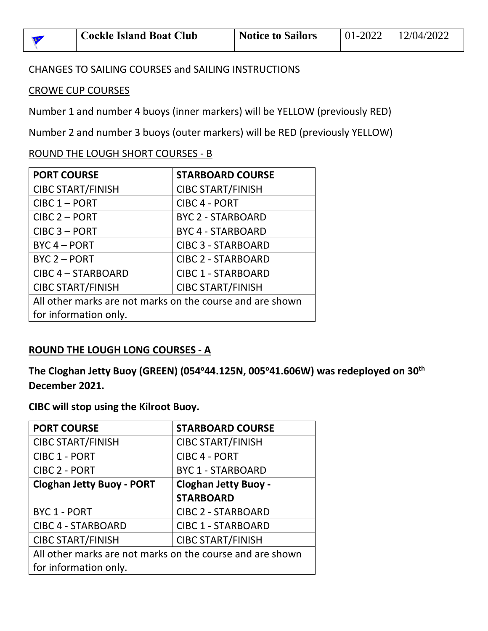| <b>Cockle Island Boat Club</b> | <b>Notice to Sailors</b> | $101-2022$ $12/04/2022$ |
|--------------------------------|--------------------------|-------------------------|
|                                |                          |                         |

#### CHANGES TO SAILING COURSES and SAILING INSTRUCTIONS

## CROWE CUP COURSES

Number 1 and number 4 buoys (inner markers) will be YELLOW (previously RED)

Number 2 and number 3 buoys (outer markers) will be RED (previously YELLOW)

## ROUND THE LOUGH SHORT COURSES - B

| <b>PORT COURSE</b>                                        | <b>STARBOARD COURSE</b>   |  |  |
|-----------------------------------------------------------|---------------------------|--|--|
| <b>CIBC START/FINISH</b>                                  | <b>CIBC START/FINISH</b>  |  |  |
| $CIRC 1 - PORT$                                           | <b>CIBC 4 - PORT</b>      |  |  |
| $CIRC 2 - PORT$                                           | <b>BYC 2 - STARBOARD</b>  |  |  |
| $CIRC 3 - PORT$                                           | <b>BYC 4 - STARBOARD</b>  |  |  |
| $BYC 4 - PORT$                                            | <b>CIBC 3 - STARBOARD</b> |  |  |
| BYC 2 - PORT                                              | <b>CIBC 2 - STARBOARD</b> |  |  |
| CIBC 4 - STARBOARD                                        | <b>CIBC 1 - STARBOARD</b> |  |  |
| <b>CIBC START/FINISH</b>                                  | <b>CIBC START/FINISH</b>  |  |  |
| All other marks are not marks on the course and are shown |                           |  |  |
| for information only.                                     |                           |  |  |

## **ROUND THE LOUGH LONG COURSES - A**

**The Cloghan Jetty Buoy (GREEN) (054<sup>o</sup>44.125N, 005<sup>o</sup>41.606W) was redeployed on 30th December 2021.**

## **CIBC will stop using the Kilroot Buoy.**

| <b>PORT COURSE</b>                                        | <b>STARBOARD COURSE</b>     |  |  |
|-----------------------------------------------------------|-----------------------------|--|--|
| <b>CIBC START/FINISH</b>                                  | <b>CIBC START/FINISH</b>    |  |  |
| <b>CIBC 1 - PORT</b>                                      | <b>CIBC 4 - PORT</b>        |  |  |
| <b>CIBC 2 - PORT</b>                                      | <b>BYC 1 - STARBOARD</b>    |  |  |
| <b>Cloghan Jetty Buoy - PORT</b>                          | <b>Cloghan Jetty Buoy -</b> |  |  |
|                                                           | <b>STARBOARD</b>            |  |  |
| BYC 1 - PORT                                              | <b>CIBC 2 - STARBOARD</b>   |  |  |
| <b>CIBC 4 - STARBOARD</b>                                 | <b>CIBC 1 - STARBOARD</b>   |  |  |
| <b>CIBC START/FINISH</b>                                  | <b>CIBC START/FINISH</b>    |  |  |
| All other marks are not marks on the course and are shown |                             |  |  |
| for information only.                                     |                             |  |  |